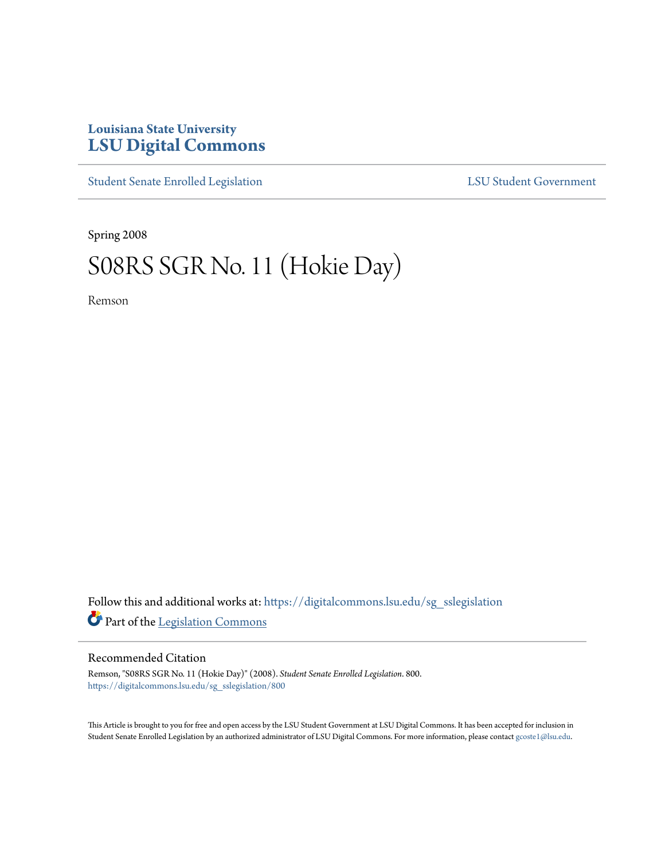## **Louisiana State University [LSU Digital Commons](https://digitalcommons.lsu.edu?utm_source=digitalcommons.lsu.edu%2Fsg_sslegislation%2F800&utm_medium=PDF&utm_campaign=PDFCoverPages)**

[Student Senate Enrolled Legislation](https://digitalcommons.lsu.edu/sg_sslegislation?utm_source=digitalcommons.lsu.edu%2Fsg_sslegislation%2F800&utm_medium=PDF&utm_campaign=PDFCoverPages) [LSU Student Government](https://digitalcommons.lsu.edu/sg?utm_source=digitalcommons.lsu.edu%2Fsg_sslegislation%2F800&utm_medium=PDF&utm_campaign=PDFCoverPages)

Spring 2008

## S08RS SGR No. 11 (Hokie Day)

Remson

Follow this and additional works at: [https://digitalcommons.lsu.edu/sg\\_sslegislation](https://digitalcommons.lsu.edu/sg_sslegislation?utm_source=digitalcommons.lsu.edu%2Fsg_sslegislation%2F800&utm_medium=PDF&utm_campaign=PDFCoverPages) Part of the [Legislation Commons](http://network.bepress.com/hgg/discipline/859?utm_source=digitalcommons.lsu.edu%2Fsg_sslegislation%2F800&utm_medium=PDF&utm_campaign=PDFCoverPages)

## Recommended Citation

Remson, "S08RS SGR No. 11 (Hokie Day)" (2008). *Student Senate Enrolled Legislation*. 800. [https://digitalcommons.lsu.edu/sg\\_sslegislation/800](https://digitalcommons.lsu.edu/sg_sslegislation/800?utm_source=digitalcommons.lsu.edu%2Fsg_sslegislation%2F800&utm_medium=PDF&utm_campaign=PDFCoverPages)

This Article is brought to you for free and open access by the LSU Student Government at LSU Digital Commons. It has been accepted for inclusion in Student Senate Enrolled Legislation by an authorized administrator of LSU Digital Commons. For more information, please contact [gcoste1@lsu.edu.](mailto:gcoste1@lsu.edu)